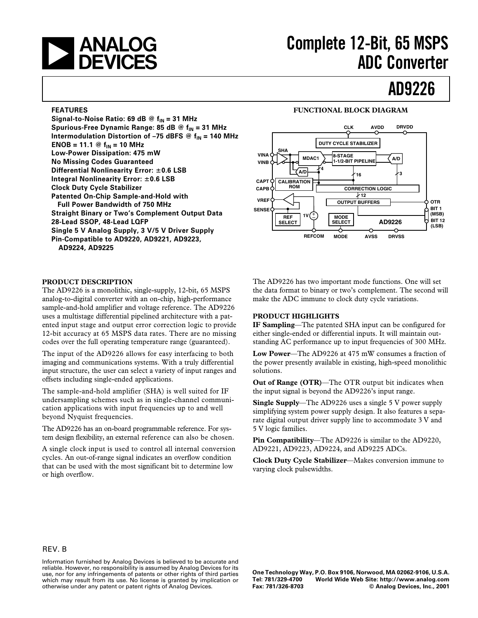

# **Complete 12-Bit, 65 MSPS ADC Converter**

# **AD9226**

#### **FEATURES**

Signal-to-Noise Ratio: 69 dB @ f<sub>IN</sub> = 31 MHz Spurious-Free Dynamic Range: 85 dB @ f<sub>IN</sub> = 31 MHz **Intermodulation Distortion of -75 dBFS @**  $f_{IN}$  **= 140 MHz ENOB = 11.1 @**  $f_{IN}$  **= 10 MHz Low-Power Dissipation: 475 mW No Missing Codes Guaranteed Differential Nonlinearity Error: 0.6 LSB Integral Nonlinearity Error: 0.6 LSB Clock Duty Cycle Stabilizer Patented On-Chip Sample-and-Hold with Full Power Bandwidth of 750 MHz Straight Binary or Two's Complement Output Data 28-Lead SSOP, 48-Lead LQFP Single 5 V Analog Supply, 3 V/5 V Driver Supply Pin-Compatible to AD9220, AD9221, AD9223, AD9224, AD9225**

#### **PRODUCT DESCRIPTION**

The AD9226 is a monolithic, single-supply, 12-bit, 65 MSPS analog-to-digital converter with an on-chip, high-performance sample-and-hold amplifier and voltage reference. The AD9226 uses a multistage differential pipelined architecture with a patented input stage and output error correction logic to provide 12-bit accuracy at 65 MSPS data rates. There are no missing codes over the full operating temperature range (guaranteed).

The input of the AD9226 allows for easy interfacing to both imaging and communications systems. With a truly differential input structure, the user can select a variety of input ranges and offsets including single-ended applications.

The sample-and-hold amplifier (SHA) is well suited for IF undersampling schemes such as in single-channel communication applications with input frequencies up to and well beyond Nyquist frequencies.

The AD9226 has an on-board programmable reference. For system design flexibility, an external reference can also be chosen.

A single clock input is used to control all internal conversion cycles. An out-of-range signal indicates an overflow condition that can be used with the most significant bit to determine low or high overflow.

#### **FUNCTIONAL BLOCK DIAGRAM**



The AD9226 has two important mode functions. One will set the data format to binary or two's complement. The second will make the ADC immune to clock duty cycle variations.

#### **PRODUCT HIGHLIGHTS**

**IF Sampling**—The patented SHA input can be configured for either single-ended or differential inputs. It will maintain outstanding AC performance up to input frequencies of 300 MHz.

**Low Power**—The AD9226 at 475 mW consumes a fraction of the power presently available in existing, high-speed monolithic solutions.

**Out of Range (OTR)**—The OTR output bit indicates when the input signal is beyond the AD9226's input range.

**Single Supply**—The AD9226 uses a single 5 V power supply simplifying system power supply design. It also features a separate digital output driver supply line to accommodate 3 V and 5 V logic families.

**Pin Compatibility**—The AD9226 is similar to the AD9220, AD9221, AD9223, AD9224, and AD9225 ADCs.

**Clock Duty Cycle Stabilizer**—Makes conversion immune to varying clock pulsewidths.

#### REV. B

Information furnished by Analog Devices is believed to be accurate and reliable. However, no responsibility is assumed by Analog Devices for its use, nor for any infringements of patents or other rights of third parties which may result from its use. No license is granted by implication or otherwise under any patent or patent rights of Analog Devices.

**One Technology Way, P.O. Box 9106, Norwood, MA 02062-9106, U.S.A. Tel: 781/329-4700 World Wide Web Site: http://www.analog.com**  $©$  Analog Devices, Inc., 2001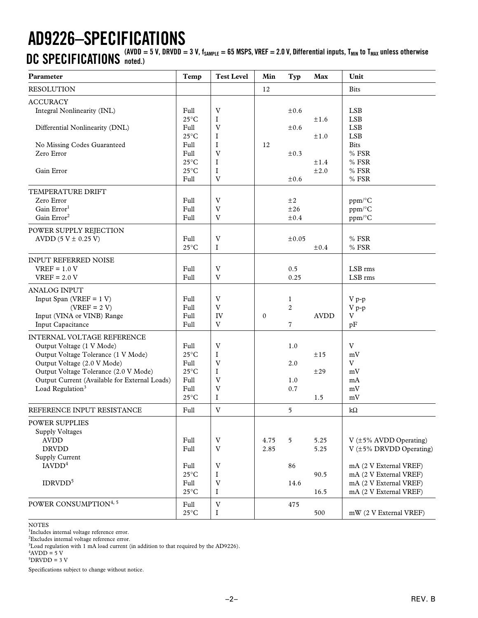# **AD9226–SPECIFICATIONS**

**CONDENSITY IS A CONDUMNATIONS** (AVDD = 5 V, DRVDD = 3 V, f<sub>SAMPLE</sub> = 65 MSPS, VREF = 2.0 V, Differential inputs, T<sub>MIN</sub> to T<sub>MAX</sub> unless otherwise

| Parameter                                                                                                                                                                                                                                               | Temp                                                                                                         | <b>Test Level</b>                                                                              | Min          | Typ                                              | Max                               | Unit                                                                                                                                                                      |
|---------------------------------------------------------------------------------------------------------------------------------------------------------------------------------------------------------------------------------------------------------|--------------------------------------------------------------------------------------------------------------|------------------------------------------------------------------------------------------------|--------------|--------------------------------------------------|-----------------------------------|---------------------------------------------------------------------------------------------------------------------------------------------------------------------------|
| <b>RESOLUTION</b>                                                                                                                                                                                                                                       |                                                                                                              |                                                                                                | 12           |                                                  |                                   | <b>Bits</b>                                                                                                                                                               |
| <b>ACCURACY</b><br>Integral Nonlinearity (INL)<br>Differential Nonlinearity (DNL)<br>No Missing Codes Guaranteed<br>Zero Error<br>Gain Error                                                                                                            | Full<br>$25^{\circ}$ C<br>Full<br>$25^{\circ}$ C<br>Full<br>Full<br>$25^{\circ}$ C<br>$25^{\circ}$ C<br>Full | $\ensuremath{\text{V}}$<br>I<br>V<br>I<br>I<br>$\mathbf V$<br>I<br>I<br>V                      | 12           | $\pm 0.6$<br>±0.6<br>$\pm 0.3$<br>$\pm 0.6$      | ±1.6<br>±1.0<br>±1.4<br>$\pm 2.0$ | <b>LSB</b><br><b>LSB</b><br><b>LSB</b><br><b>LSB</b><br><b>Bits</b><br>% FSR<br>% FSR<br>% FSR<br>$\%$ FSR                                                                |
| TEMPERATURE DRIFT<br>Zero Error<br>Gain Error <sup>1</sup><br>Gain Error <sup>2</sup><br>POWER SUPPLY REJECTION                                                                                                                                         | Full<br>Full<br>Full                                                                                         | V<br>$\mathbf V$<br>$\ensuremath{\mathbf{V}}$                                                  |              | $\pm 2$<br>±26<br>±0.4                           |                                   | ppm/°C<br>ppm/°C<br>ppm/°C                                                                                                                                                |
| AVDD $(5 V \pm 0.25 V)$                                                                                                                                                                                                                                 | Full<br>$25^{\circ}$ C                                                                                       | V<br>I                                                                                         |              | $\pm 0.05$                                       | ±0.4                              | % FSR<br>$%$ FSR                                                                                                                                                          |
| <b>INPUT REFERRED NOISE</b><br>$VREF = 1.0 V$<br>$VREF = 2.0 V$                                                                                                                                                                                         | Full<br>Full                                                                                                 | V<br>V                                                                                         |              | 0.5<br>0.25                                      |                                   | LSB rms<br>LSB rms                                                                                                                                                        |
| <b>ANALOG INPUT</b><br>Input Span (VREF = $1 V$ )<br>$(VREF = 2 V)$<br>Input (VINA or VINB) Range<br>Input Capacitance                                                                                                                                  | Full<br>Full<br>Full<br>Full                                                                                 | $\mathbf V$<br>V<br>IV<br>V                                                                    | $\mathbf{0}$ | $\mathbf{1}$<br>$\overline{c}$<br>$\overline{7}$ | <b>AVDD</b>                       | $V p-p$<br>$\rm V$ p-p<br>V<br>pF                                                                                                                                         |
| INTERNAL VOLTAGE REFERENCE<br>Output Voltage (1 V Mode)<br>Output Voltage Tolerance (1 V Mode)<br>Output Voltage (2.0 V Mode)<br>Output Voltage Tolerance (2.0 V Mode)<br>Output Current (Available for External Loads)<br>Load Regulation <sup>3</sup> | Full<br>$25^{\circ}$ C<br>Full<br>$25^{\circ}$ C<br>Full<br>Full<br>$25^{\circ}$ C                           | V<br>$\mathbf I$<br>$\mathbf V$<br>$\bf{I}$<br>V<br>V<br>I                                     |              | 1.0<br>2.0<br>1.0<br>0.7                         | ±15<br>±29<br>1.5                 | $\mathbf V$<br>mV<br>$\mathbf{V}$<br>mV<br>mA<br>mV<br>mV                                                                                                                 |
| REFERENCE INPUT RESISTANCE                                                                                                                                                                                                                              | Full                                                                                                         | $\mathbf V$                                                                                    |              | 5                                                |                                   | $k\Omega$                                                                                                                                                                 |
| <b>POWER SUPPLIES</b><br><b>Supply Voltages</b><br><b>AVDD</b><br><b>DRVDD</b><br><b>Supply Current</b><br>IAVDD <sup>4</sup><br>IDRVDD <sup>5</sup>                                                                                                    | Full<br>Full<br>Full<br>$25^{\circ}$ C<br>Full<br>$25^{\circ}$ C                                             | V<br>$\ensuremath{\mathbf{V}}$<br>$\ensuremath{\text{V}}$<br>I<br>$\ensuremath{\text{V}}$<br>I | 4.75<br>2.85 | 5<br>86<br>14.6                                  | 5.25<br>5.25<br>90.5<br>16.5      | $V$ ( $\pm$ 5% AVDD Operating)<br>$V$ ( $\pm$ 5% DRVDD Operating)<br>mA (2 V External VREF)<br>mA (2 V External VREF)<br>mA (2 V External VREF)<br>mA (2 V External VREF) |
| POWER CONSUMPTION <sup>4, 5</sup>                                                                                                                                                                                                                       | Full<br>$25^{\circ}\textrm{C}$                                                                               | $\ensuremath{\text{V}}$<br>I                                                                   |              | 475                                              | 500                               | mW (2 V External VREF)                                                                                                                                                    |

#### NOTES

1 Includes internal voltage reference error.

2 Excludes internal voltage reference error.

 $3$ Load regulation with 1 mA load current (in addition to that required by the AD9226).

 $4$ AVDD = 5 V

 $5DRVDD = 3 V$ 

Specifications subject to change without notice.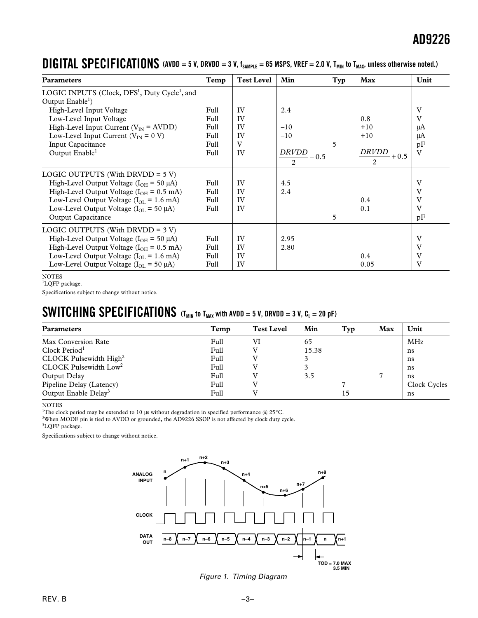| <b>Parameters</b>                                                     | Temp | <b>Test Level</b> | Min                    | Typ | Max                    | Unit                    |
|-----------------------------------------------------------------------|------|-------------------|------------------------|-----|------------------------|-------------------------|
| LOGIC INPUTS (Clock, DFS <sup>1</sup> , Duty Cycle <sup>1</sup> , and |      |                   |                        |     |                        |                         |
| Output $Enable1$ )                                                    |      |                   |                        |     |                        |                         |
| High-Level Input Voltage                                              | Full | IV                | 2.4                    |     |                        | V                       |
| Low-Level Input Voltage                                               | Full | IV                |                        |     | 0.8                    | V                       |
| High-Level Input Current ( $V_{IN}$ = AVDD)                           | Full | IV                | $-10$                  |     | $+10$                  | μA                      |
| Low-Level Input Current ( $V_{IN} = 0 V$ )                            | Full | IV                | $-10$                  |     | $+10$                  | μA                      |
| Input Capacitance                                                     | Full | V                 |                        | 5   |                        | pF                      |
| Output Enable <sup>1</sup>                                            | Full | IV                | <b>DRVDD</b><br>$-0.5$ |     | <b>DRVDD</b><br>$+0.5$ | $\overline{\mathbf{V}}$ |
|                                                                       |      |                   | 2                      |     | 2                      |                         |
| LOGIC OUTPUTS (With DRVDD = $5 V$ )                                   |      |                   |                        |     |                        |                         |
| High-Level Output Voltage ( $I_{OH}$ = 50 µA)                         | Full | IV                | 4.5                    |     |                        | V                       |
| High-Level Output Voltage ( $I_{OH}$ = 0.5 mA)                        | Full | IV                | 2.4                    |     |                        | V                       |
| Low-Level Output Voltage ( $I_{\text{OL}} = 1.6$ mA)                  | Full | IV                |                        |     | $0.4\,$                | V                       |
| Low-Level Output Voltage ( $I_{OL}$ = 50 $\mu$ A)                     | Full | IV                |                        |     | 0.1                    | V                       |
| Output Capacitance                                                    |      |                   |                        | 5   |                        | pF                      |
| LOGIC OUTPUTS (With DRVDD = $3 V$ )                                   |      |                   |                        |     |                        |                         |
| High-Level Output Voltage ( $I_{OH}$ = 50 µA)                         | Full | IV                | 2.95                   |     |                        | V                       |
| High-Level Output Voltage ( $I_{OH} = 0.5$ mA)                        | Full | IV                | 2.80                   |     |                        | V                       |
| Low-Level Output Voltage ( $I_{\text{OL}} = 1.6$ mA)                  | Full | IV                |                        |     | 0.4                    | V                       |
| Low-Level Output Voltage ( $I_{OL}$ = 50 $\mu$ A)                     | Full | IV                |                        |     | 0.05                   | V                       |

### **DIGITAL SPECIFICATIONS** (AVDD = 5 V, DRVDD = 3 V, f<sub>SAMPLE</sub> = 65 MSPS, VREF = 2.0 V, T<sub>MIN</sub> to T<sub>MAX</sub>, unless otherwise noted.)

**NOTES** 

<sup>1</sup>LQFP package.

Specifications subject to change without notice.

### **SWITCHING SPECIFICATIONS** (T<sub>MIN</sub> to T<sub>MAX</sub> with AVDD = 5 V, DRVDD = 3 V, C<sub>L</sub> = 20 pF)

| <b>Parameters</b>                | Temp | <b>Test Level</b> | Min   | Typ | Max | Unit         |
|----------------------------------|------|-------------------|-------|-----|-----|--------------|
| Max Conversion Rate              | Full | VI                | 65    |     |     | MHz          |
| Clock Period <sup>1</sup>        | Full |                   | 15.38 |     |     | ns           |
| $CLOCK$ Pulsewidth $High2$       | Full |                   |       |     |     | ns           |
| $CLOCK$ Pulsewidth $Low2$        | Full |                   |       |     |     | ns           |
| Output Delay                     | Full |                   | 3.5   |     |     | ns           |
| Pipeline Delay (Latency)         | Full |                   |       |     |     | Clock Cycles |
| Output Enable Delay <sup>3</sup> | Full |                   |       | 15  |     | ns           |

NOTES

<sup>1</sup>The clock period may be extended to 10 µs without degradation in specified performance @ 25°C.

2 When MODE pin is tied to AVDD or grounded, the AD9226 SSOP is not affected by clock duty cycle.

<sup>3</sup>LQFP package.

Specifications subject to change without notice.



Figure 1. Timing Diagram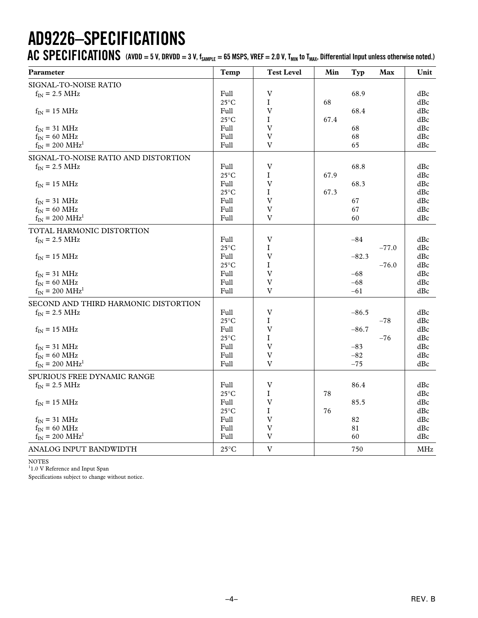# **AD9226–SPECIFICATIONS**

AC SPECIFICATIONS (AVDD = 5 V, DRVDD = 3 V, f<sub>SAMPLE</sub> = 65 MSPS, VREF = 2.0 V, T<sub>MIN</sub> to T<sub>MAX</sub>, Differential Input unless otherwise noted.)

| Parameter                            | Temp                  | <b>Test Level</b>         | Min  | Typ     | Max     | Unit       |
|--------------------------------------|-----------------------|---------------------------|------|---------|---------|------------|
| SIGNAL-TO-NOISE RATIO                |                       |                           |      |         |         |            |
| $f_{IN}$ = 2.5 MHz                   | Full                  | $\overline{V}$            |      | 68.9    |         | dBc        |
|                                      | $25^{\circ}$ C        | I                         | 68   |         |         | dBc        |
| $f_{IN}$ = 15 MHz                    | Full                  | $\overline{V}$            |      | 68.4    |         | dBc        |
|                                      | $25^{\circ}$ C        | $\bf{I}$                  | 67.4 |         |         | dBc        |
| $f_{IN}$ = 31 MHz                    | Full                  | $\mathbf V$               |      | 68      |         | dBc        |
| $f_{IN}$ = 60 MHz                    | Full                  | $\overline{V}$            |      | 68      |         | dBc        |
| $f_{IN}$ = 200 MHz <sup>1</sup>      | Full                  | V                         |      | 65      |         | dBc        |
| SIGNAL-TO-NOISE RATIO AND DISTORTION |                       |                           |      |         |         |            |
| $f_{IN}$ = 2.5 MHz                   | Full                  | $\mathbf V$               |      | 68.8    |         | dBc        |
|                                      | $25^{\circ} \text{C}$ | I                         | 67.9 |         |         | dBc        |
| $f_{IN}$ = 15 MHz                    | Full                  | $\mathbf V$               |      | 68.3    |         | dBc        |
|                                      | $25^{\circ}$ C        | $\bf{I}$                  | 67.3 |         |         | dBc        |
| $\rm f_{IN}$ = 31 MHz                | Full                  | $\mathbf V$               |      | 67      |         | dBc        |
| $f_{IN}$ = 60 MHz                    | Full                  | $\overline{V}$            |      | 67      |         | dBc        |
| $f_{IN}$ = 200 MHz <sup>1</sup>      | Full                  | $\overline{V}$            |      | 60      |         | dBc        |
| TOTAL HARMONIC DISTORTION            |                       |                           |      |         |         |            |
| $f_{IN}$ = 2.5 MHz                   | Full                  | $\ensuremath{\text{V}}$   |      | $-84$   |         | dBc        |
|                                      | $25^{\circ}$ C        | I                         |      |         | $-77.0$ | dBc        |
| $f_{IN}$ = 15 MHz                    | Full                  | $\mathbf V$               |      | $-82.3$ |         | dBc        |
|                                      | $25^{\circ}$ C        | $\mathbf I$               |      |         | $-76.0$ | dBc        |
| $\rm f_{IN}$ = 31 MHz                | Full                  | $\mathbf V$               |      | $-68$   |         | dBc        |
| $f_{IN}$ = 60 MHz                    | Full                  | $\overline{V}$            |      | $-68$   |         | dBc        |
| $f_{IN}$ = 200 MHz <sup>1</sup>      | Full                  | $\boldsymbol{\mathrm{V}}$ |      | $-61$   |         | dBc        |
| SECOND AND THIRD HARMONIC DISTORTION |                       |                           |      |         |         |            |
| $f_{IN}$ = 2.5 MHz                   | Full                  | $\ensuremath{\text{V}}$   |      | $-86.5$ |         | dBc        |
|                                      | $25^{\circ}$ C        | I                         |      |         | $-78$   | dBc        |
| $f_{IN}$ = 15 MHz                    | Full                  | $\mathbf V$               |      | $-86.7$ |         | dBc        |
|                                      | $25^{\circ}$ C        | $\mathbf I$               |      |         | $-76$   | dBc        |
| $\rm f_{IN}$ = 31 MHz                | Full                  | $\mathbf V$               |      | $-83$   |         | dBc        |
| $f_{IN}$ = 60 MHz                    | Full                  | $\mathbf V$               |      | $-82$   |         | dBc        |
| $f_{IN}$ = 200 MHz <sup>1</sup>      | Full                  | $\ensuremath{\text{V}}$   |      | $-75$   |         | dBc        |
| SPURIOUS FREE DYNAMIC RANGE          |                       |                           |      |         |         |            |
| $f_{IN}$ = 2.5 MHz                   | Full                  | $\mathbf V$               |      | 86.4    |         | dBc        |
|                                      | $25^{\circ}$ C        | $\mathbf I$               | 78   |         |         | dBc        |
| $f_{IN}$ = 15 MHz                    | Full                  | $\ensuremath{\text{V}}$   |      | 85.5    |         | dBc        |
|                                      | $25^{\circ}$ C        | $\bf{I}$                  | 76   |         |         | dBc        |
| $f_{IN}$ = 31 MHz                    | Full                  | $\boldsymbol{\mathrm{V}}$ |      | 82      |         | dBc        |
| $f_{IN}$ = 60 MHz                    | Full                  | $\mathbf V$               |      | 81      |         | dBc        |
| $f_{IN}$ = 200 MHz <sup>1</sup>      | Full                  | $\ensuremath{\text{V}}$   |      | 60      |         | dBc        |
| ANALOG INPUT BANDWIDTH               | $25^{\circ}$ C        | $\ensuremath{\text{V}}$   |      | 750     |         | <b>MHz</b> |

NOTES

<sup>1</sup>1.0 V Reference and Input Span

Specifications subject to change without notice.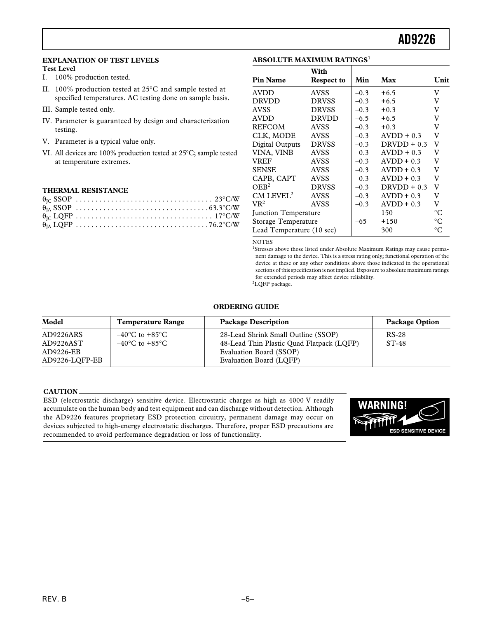#### **EXPLANATION OF TEST LEVELS**

#### **Test Level**

I. 100% production tested.

- II. 100% production tested at 25°C and sample tested at specified temperatures. AC testing done on sample basis.
- III. Sample tested only.
- IV. Parameter is guaranteed by design and characterization testing.
- V. Parameter is a typical value only.
- VI. All devices are 100% production tested at 25°C; sample tested at temperature extremes.

#### **THERMAL RESISTANCE**

#### **ABSOLUTE MAXIMUM RATINGS<sup>1</sup>**

|                            | With         |        |               |             |
|----------------------------|--------------|--------|---------------|-------------|
| <b>Pin Name</b>            | Respect to   | Min    | Max           | Unit        |
| <b>AVDD</b>                | <b>AVSS</b>  | $-0.3$ | $+6.5$        | v           |
| <b>DRVDD</b>               | <b>DRVSS</b> | $-0.3$ | $+6.5$        | V           |
| <b>AVSS</b>                | <b>DRVSS</b> | $-0.3$ | $+0.3$        | V           |
| <b>AVDD</b>                | <b>DRVDD</b> | $-6.5$ | $+6.5$        | V           |
| REFCOM                     | <b>AVSS</b>  | $-0.3$ | $+0.3$        | V           |
| CLK, MODE                  | AVSS         | $-0.3$ | $AVDD + 0.3$  | V           |
| <b>Digital Outputs</b>     | <b>DRVSS</b> | $-0.3$ | $DRVDD + 0.3$ | V           |
| VINA, VINB                 | <b>AVSS</b>  | $-0.3$ | $AVDD + 0.3$  | V           |
| VREF                       | <b>AVSS</b>  | $-0.3$ | $AVDD + 0.3$  | V           |
| <b>SENSE</b>               | <b>AVSS</b>  | $-0.3$ | $AVDD + 0.3$  | v           |
| CAPB, CAPT                 | <b>AVSS</b>  | $-0.3$ | $AVDD + 0.3$  | v           |
| $OEB^2$                    | <b>DRVSS</b> | $-0.3$ | $DRVDD + 0.3$ | V           |
| $CM$ LEVEL <sup>2</sup>    | AVSS         | $-0.3$ | $AVDD + 0.3$  | v           |
| $\mathrm{VR}^2$            | <b>AVSS</b>  | $-0.3$ | $AVDD + 0.3$  | V           |
| Junction Temperature       |              |        | 150           | $^{\circ}C$ |
| <b>Storage Temperature</b> |              | $-65$  | $+150$        | $^{\circ}C$ |
| Lead Temperature (10 sec)  |              |        | 300           | $^{\circ}C$ |

#### **NOTES**

<sup>1</sup>Stresses above those listed under Absolute Maximum Ratings may cause permanent damage to the device. This is a stress rating only; functional operation of the device at these or any other conditions above those indicated in the operational sections of this specification is not implied. Exposure to absolute maximum ratings for extended periods may affect device reliability. 2 LQFP package.

#### **ORDERING GUIDE**

| Model                       | <b>Temperature Range</b>                                                 | <b>Package Description</b>                                                       | <b>Package Option</b> |
|-----------------------------|--------------------------------------------------------------------------|----------------------------------------------------------------------------------|-----------------------|
| AD9226ARS<br>AD9226AST      | $-40^{\circ}$ C to $+85^{\circ}$ C<br>$-40^{\circ}$ C to $+85^{\circ}$ C | 28-Lead Shrink Small Outline (SSOP)<br>48-Lead Thin Plastic Quad Flatpack (LQFP) | $RS-28$<br>$ST-48$    |
| AD9226-EB<br>AD9226-LOFP-EB |                                                                          | Evaluation Board (SSOP)<br>Evaluation Board (LOFP)                               |                       |

#### **CAUTION**

ESD (electrostatic discharge) sensitive device. Electrostatic charges as high as 4000 V readily accumulate on the human body and test equipment and can discharge without detection. Although the AD9226 features proprietary ESD protection circuitry, permanent damage may occur on devices subjected to high-energy electrostatic discharges. Therefore, proper ESD precautions are recommended to avoid performance degradation or loss of functionality.

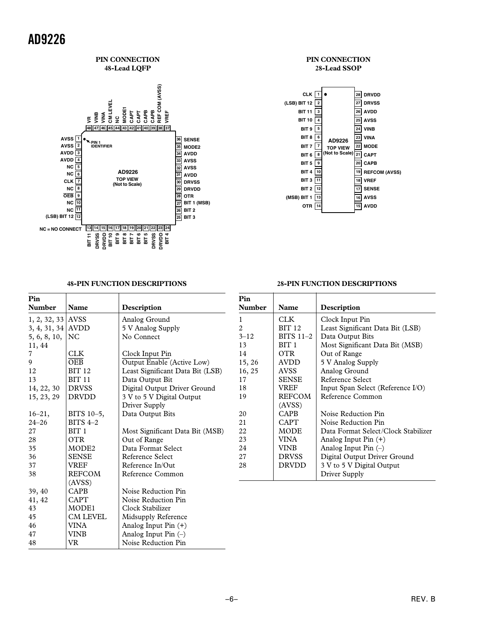

#### **PIN CONNECTION 28-Lead SSOP**



**28-PIN FUNCTION DESCRIPTIONS**

#### **48-PIN FUNCTION DESCRIPTIONS**

48 VR Noise Reduction Pin

#### **Pin** Number | Name | Description 1, 2, 32, 33  $ANSS$  Analog Ground 3, 4, 31, 34 AVDD  $\vert$  5 V Analog Supply 5, 6, 8, 10,  $NC$  No Connect 11, 44 7 CLK Clock Input Pin 9 *OEB Output Enable* (Active Low) 12 BIT 12 Least Significant Data Bit (LSB) 13 BIT 11 Data Output Bit 14, 22, 30 DRVSS Digital Output Driver Ground<br>15, 23, 29 DRVDD 3 V to 5 V Digital Output 15, 23, 29  $|DRVDD$  3 V to 5 V Digital Output Driver Supply 16–21, BITS 10–5, Data Output Bits 24–26 BITS 4–2 27 BIT 1 Most Significant Data Bit (MSB) 28 OTR Out of Range<br>35 MODE2 Data Format : Data Format Select 36 SENSE Reference Select 37 VREF Reference In/Out 38 REFCOM Reference Common (AVSS) 39, 40 CAPB Noise Reduction Pin<br>41, 42 CAPT Noise Reduction Pin 41, 42 CAPT Noise Reduction Pin 43 MODE1 Clock Stabilizer 45 | CM LEVEL | Midsupply Reference 46 | VINA | Analog Input Pin (+) 47 VINB Analog Input Pin (–) **Pin** Number | Name | Description 1 CLK Clock Input Pin 2 BIT 12 Least Significant Data Bit (LSB)<br>3–12 BITS 11–2 Data Output Bits 3–12 BITS 11–2 Data Output Bits 13 BIT 1 | Most Significant Data Bit (MSB) 14 OTR Out of Range 15, 26 | AVDD | 5 V Analog Supply 16, 25 | AVSS | Analog Ground 17 SENSE Reference Select<br>18 VREF Input Span Select 18 | VREF | Input Span Select (Reference I/O) 19 REFCOM Reference Common (AVSS) 20 | CAPB | Noise Reduction Pin 21 CAPT Noise Reduction Pin 22 MODE Data Format Select/Clock Stabilizer<br>23 VINA Analog Input Pin (+) 23 | VINA | Analog Input Pin (+) 24 | VINB | Analog Input Pin (-) 27 DRVSS Digital Output Driver Ground<br>
28 DRVDD 3 V to 5 V Digital Output DRVDD  $\parallel$  3 V to 5 V Digital Output Driver Supply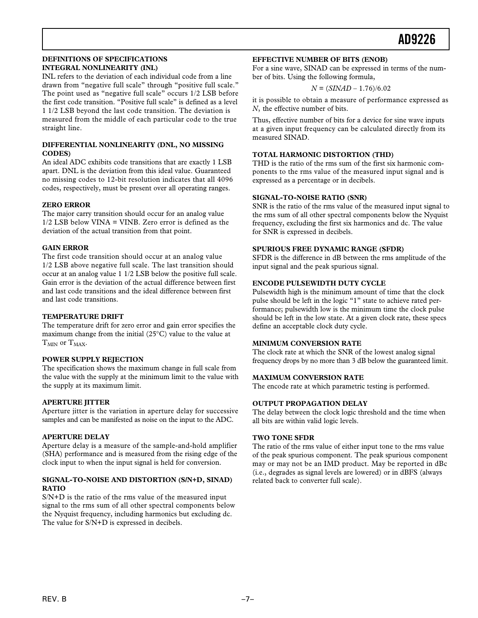#### **DEFINITIONS OF SPECIFICATIONS INTEGRAL NONLINEARITY (INL)**

INL refers to the deviation of each individual code from a line drawn from "negative full scale" through "positive full scale." The point used as "negative full scale" occurs 1/2 LSB before the first code transition. "Positive full scale" is defined as a level 1 1/2 LSB beyond the last code transition. The deviation is measured from the middle of each particular code to the true straight line.

#### **DIFFERENTIAL NONLINEARITY (DNL, NO MISSING CODES)**

An ideal ADC exhibits code transitions that are exactly 1 LSB apart. DNL is the deviation from this ideal value. Guaranteed no missing codes to 12-bit resolution indicates that all 4096 codes, respectively, must be present over all operating ranges.

#### **ZERO ERROR**

The major carry transition should occur for an analog value 1/2 LSB below VINA = VINB. Zero error is defined as the deviation of the actual transition from that point.

#### **GAIN ERROR**

The first code transition should occur at an analog value 1/2 LSB above negative full scale. The last transition should occur at an analog value 1 1/2 LSB below the positive full scale. Gain error is the deviation of the actual difference between first and last code transitions and the ideal difference between first and last code transitions.

#### **TEMPERATURE DRIFT**

The temperature drift for zero error and gain error specifies the maximum change from the initial (25°C) value to the value at  $T<sub>MIN</sub>$  or  $T<sub>MAX</sub>$ .

#### **POWER SUPPLY REJECTION**

The specification shows the maximum change in full scale from the value with the supply at the minimum limit to the value with the supply at its maximum limit.

#### **APERTURE JITTER**

Aperture jitter is the variation in aperture delay for successive samples and can be manifested as noise on the input to the ADC.

#### **APERTURE DELAY**

Aperture delay is a measure of the sample-and-hold amplifier (SHA) performance and is measured from the rising edge of the clock input to when the input signal is held for conversion.

#### **SIGNAL-TO-NOISE AND DISTORTION (S/N+D, SINAD) RATIO**

S/N+D is the ratio of the rms value of the measured input signal to the rms sum of all other spectral components below the Nyquist frequency, including harmonics but excluding dc. The value for S/N+D is expressed in decibels.

#### **EFFECTIVE NUMBER OF BITS (ENOB)**

For a sine wave, SINAD can be expressed in terms of the number of bits. Using the following formula,

 $N = (SIMAD - 1.76)/6.02$ 

it is possible to obtain a measure of performance expressed as *N*, the effective number of bits.

Thus, effective number of bits for a device for sine wave inputs at a given input frequency can be calculated directly from its measured SINAD.

#### **TOTAL HARMONIC DISTORTION (THD)**

THD is the ratio of the rms sum of the first six harmonic components to the rms value of the measured input signal and is expressed as a percentage or in decibels.

#### **SIGNAL-TO-NOISE RATIO (SNR)**

SNR is the ratio of the rms value of the measured input signal to the rms sum of all other spectral components below the Nyquist frequency, excluding the first six harmonics and dc. The value for SNR is expressed in decibels.

#### **SPURIOUS FREE DYNAMIC RANGE (SFDR)**

SFDR is the difference in dB between the rms amplitude of the input signal and the peak spurious signal.

#### **ENCODE PULSEWIDTH DUTY CYCLE**

Pulsewidth high is the minimum amount of time that the clock pulse should be left in the logic "1" state to achieve rated performance; pulsewidth low is the minimum time the clock pulse should be left in the low state. At a given clock rate, these specs define an acceptable clock duty cycle.

#### **MINIMUM CONVERSION RATE**

The clock rate at which the SNR of the lowest analog signal frequency drops by no more than 3 dB below the guaranteed limit.

#### **MAXIMUM CONVERSION RATE**

The encode rate at which parametric testing is performed.

#### **OUTPUT PROPAGATION DELAY**

The delay between the clock logic threshold and the time when all bits are within valid logic levels.

#### **TWO TONE SFDR**

The ratio of the rms value of either input tone to the rms value of the peak spurious component. The peak spurious component may or may not be an IMD product. May be reported in dBc (i.e., degrades as signal levels are lowered) or in dBFS (always related back to converter full scale).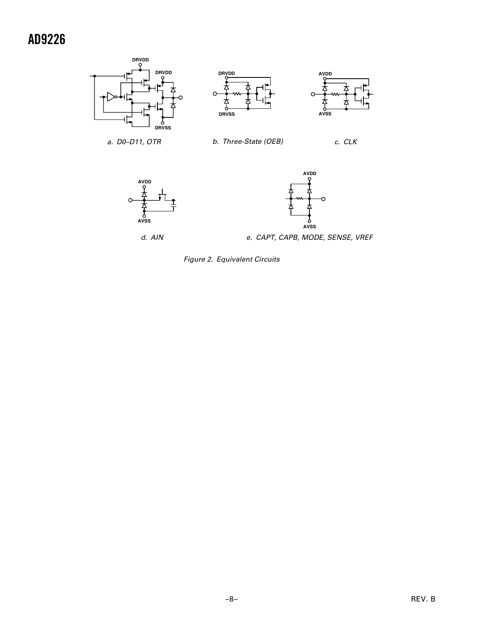

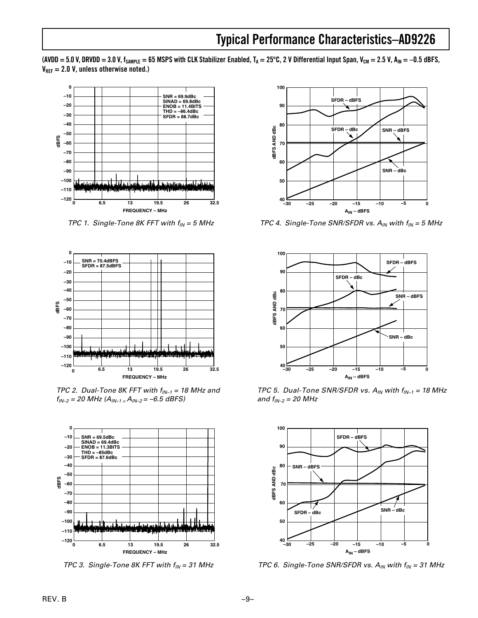(AVDD = 5.0 V, DRVDD = 3.0 V, f<sub>SAMPLE</sub> = 65 MSPS with CLK Stabilizer Enabled, T<sub>A</sub> = 25°C, 2 V Differential Input Span, V<sub>CM</sub> = 2.5 V, A<sub>IN</sub> = –0.5 dBFS,  $V_{\text{RFF}} = 2.0 V$ , unless otherwise noted.)



TPC 1. Single-Tone 8K FFT with  $f_{IN} = 5$  MHz



TPC 2. Dual-Tone 8K FFT with  $f_{1N-1} = 18$  MHz and  $f_{IN-2} = 20$  MHz  $(A_{IN-1} = A_{IN-2} = -6.5$  dBFS)



TPC 3. Single-Tone 8K FFT with  $f_{IN} = 31$  MHz



TPC 4. Single-Tone SNR/SFDR vs.  $A_{IN}$  with  $f_{IN} = 5$  MHz



TPC 5. Dual-Tone SNR/SFDR vs.  $A_{IN}$  with  $f_{IN-1} = 18$  MHz and  $f_{IN-2} = 20$  MHz



TPC 6. Single-Tone SNR/SFDR vs.  $A_{IN}$  with  $f_{IN} = 31$  MHz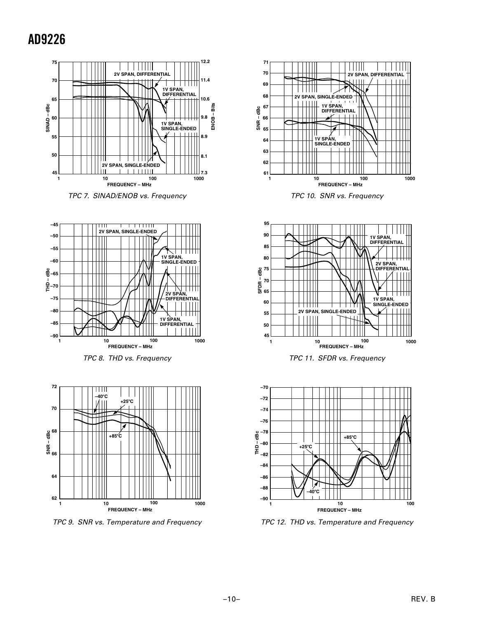





TPC 8. THD vs. Frequency



TPC 9. SNR vs. Temperature and Frequency



TPC 10. SNR vs. Frequency







TPC 12. THD vs. Temperature and Frequency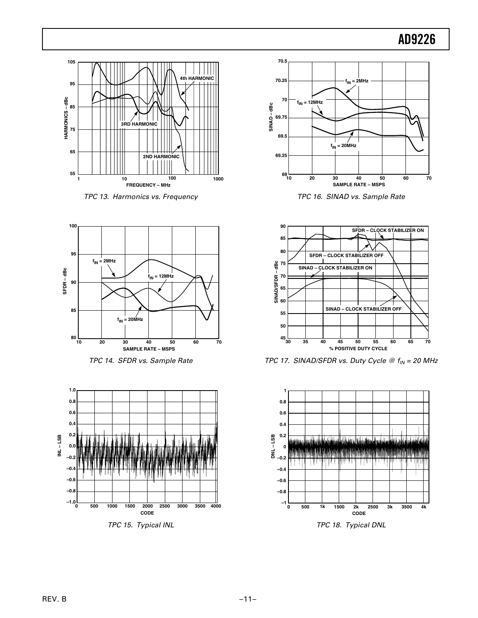

TPC 13. Harmonics vs. Frequency



TPC 14. SFDR vs. Sample Rate



TPC 15. Typical INL



TPC 16. SINAD vs. Sample Rate



TPC 17. SINAD/SFDR vs. Duty Cycle  $@f_{IN} = 20$  MHz



TPC 18. Typical DNL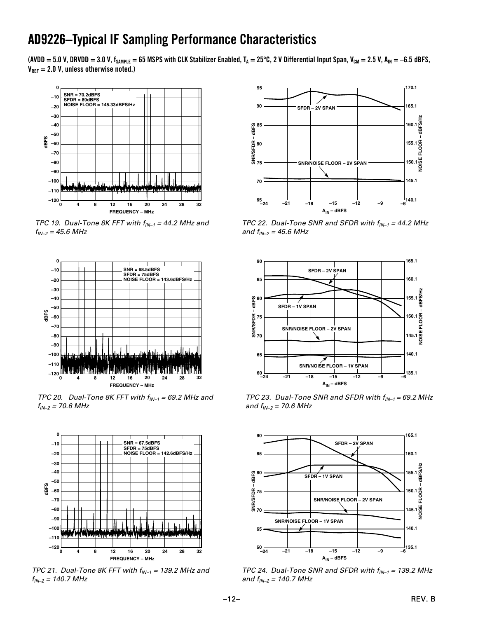### **AD9226 AD9226–Typical IF Sampling Performance Characteristics**

(AVDD = 5.0 V, DRVDD = 3.0 V, f<sub>SAMPLE</sub> = 65 MSPS with CLK Stabilizer Enabled, T<sub>A</sub> = 25°C, 2 V Differential Input Span, V<sub>CM</sub> = 2.5 V, A<sub>IN</sub> = –6.5 dBFS,  $V_{\text{RFF}} = 2.0 V$ , unless otherwise noted.)



TPC 19. Dual-Tone 8K FFT with  $f_{IN-1} = 44.2$  MHz and  $f_{IN-2} = 45.6 \text{ MHz}$ 



TPC 20. Dual-Tone 8K FFT with  $f_{\text{IN-1}} = 69.2$  MHz and  $f_{IN-2}$  = 70.6 MHz



TPC 21. Dual-Tone 8K FFT with  $f_{IN-1}$  = 139.2 MHz and  $f_{IN-2}$  = 140.7 MHz



TPC 22. Dual-Tone SNR and SFDR with  $f_{IN-1} = 44.2$  MHz and  $f_{IN-2} = 45.6 \text{ MHz}$ 



TPC 23. Dual-Tone SNR and SFDR with  $f_{IN-1} = 69.2$  MHz and  $f_{IN-2}$  = 70.6 MHz



TPC 24. Dual-Tone SNR and SFDR with  $f_{IN-1}$  = 139.2 MHz and  $f_{IN-2} = 140.7 \text{ MHz}$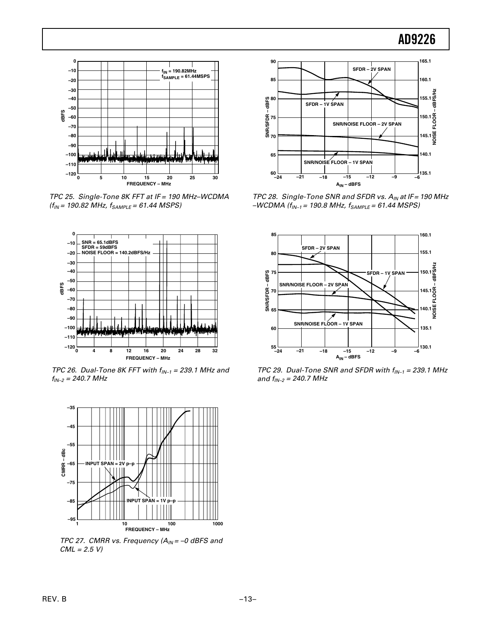

TPC 25. Single-Tone 8K FFT at IF = 190 MHz–WCDMA  $(f_{IN} = 190.82 \text{ MHz}, f_{SAMPLE} = 61.44 \text{ MSPS})$ 



TPC 26. Dual-Tone 8K FFT with  $f_{IN-1} = 239.1$  MHz and  $f_{IN-2} = 240.7 \text{ MHz}$ 



TPC 27. CMRR vs. Frequency  $(A_{IN} = -0$  dBFS and  $CML = 2.5 V$ 



TPC 28. Single-Tone SNR and SFDR vs.  $A_{IN}$  at IF = 190 MHz  $-WCDMA$  ( $f_{IN-1}$  = 190.8 MHz,  $f_{SAMPLE}$  = 61.44 MSPS)



TPC 29. Dual-Tone SNR and SFDR with  $f_{IN-1} = 239.1$  MHz and  $f_{IN-2} = 240.7 \text{ MHz}$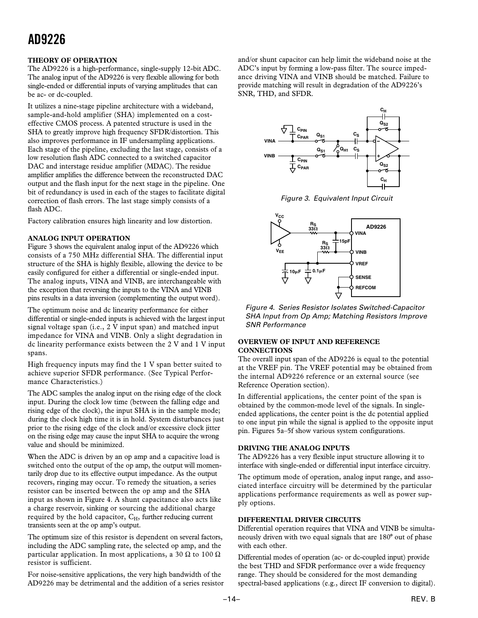#### **THEORY OF OPERATION**

The AD9226 is a high-performance, single-supply 12-bit ADC. The analog input of the AD9226 is very flexible allowing for both single-ended or differential inputs of varying amplitudes that can be ac- or dc-coupled.

It utilizes a nine-stage pipeline architecture with a wideband, sample-and-hold amplifier (SHA) implemented on a costeffective CMOS process. A patented structure is used in the SHA to greatly improve high frequency SFDR/distortion. This also improves performance in IF undersampling applications. Each stage of the pipeline, excluding the last stage, consists of a low resolution flash ADC connected to a switched capacitor DAC and interstage residue amplifier (MDAC). The residue amplifier amplifies the difference between the reconstructed DAC output and the flash input for the next stage in the pipeline. One bit of redundancy is used in each of the stages to facilitate digital correction of flash errors. The last stage simply consists of a flash ADC.

Factory calibration ensures high linearity and low distortion.

#### **ANALOG INPUT OPERATION**

Figure 3 shows the equivalent analog input of the AD9226 which consists of a 750 MHz differential SHA. The differential input structure of the SHA is highly flexible, allowing the device to be easily configured for either a differential or single-ended input. The analog inputs, VINA and VINB, are interchangeable with the exception that reversing the inputs to the VINA and VINB pins results in a data inversion (complementing the output word).

The optimum noise and dc linearity performance for either differential or single-ended inputs is achieved with the largest input signal voltage span (i.e., 2 V input span) and matched input impedance for VINA and VINB. Only a slight degradation in dc linearity performance exists between the 2 V and 1 V input spans.

High frequency inputs may find the 1 V span better suited to achieve superior SFDR performance. (See Typical Performance Characteristics.)

The ADC samples the analog input on the rising edge of the clock input. During the clock low time (between the falling edge and rising edge of the clock), the input SHA is in the sample mode; during the clock high time it is in hold. System disturbances just prior to the rising edge of the clock and/or excessive clock jitter on the rising edge may cause the input SHA to acquire the wrong value and should be minimized.

When the ADC is driven by an op amp and a capacitive load is switched onto the output of the op amp, the output will momentarily drop due to its effective output impedance. As the output recovers, ringing may occur. To remedy the situation, a series resistor can be inserted between the op amp and the SHA input as shown in Figure 4. A shunt capacitance also acts like a charge reservoir, sinking or sourcing the additional charge required by the hold capacitor,  $C_H$ , further reducing current transients seen at the op amp's output.

The optimum size of this resistor is dependent on several factors, including the ADC sampling rate, the selected op amp, and the particular application. In most applications, a 30  $\Omega$  to 100  $\Omega$ resistor is sufficient.

For noise-sensitive applications, the very high bandwidth of the AD9226 may be detrimental and the addition of a series resistor and/or shunt capacitor can help limit the wideband noise at the ADC's input by forming a low-pass filter. The source impedance driving VINA and VINB should be matched. Failure to provide matching will result in degradation of the AD9226's SNR, THD, and SFDR.



Figure 3. Equivalent Input Circuit



Figure 4. Series Resistor Isolates Switched-Capacitor SHA Input from Op Amp; Matching Resistors Improve SNR Performance

#### **OVERVIEW OF INPUT AND REFERENCE CONNECTIONS**

The overall input span of the AD9226 is equal to the potential at the VREF pin. The VREF potential may be obtained from the internal AD9226 reference or an external source (see Reference Operation section).

In differential applications, the center point of the span is obtained by the common-mode level of the signals. In singleended applications, the center point is the dc potential applied to one input pin while the signal is applied to the opposite input pin. Figures 5a–5f show various system configurations.

#### **DRIVING THE ANALOG INPUTS**

The AD9226 has a very flexible input structure allowing it to interface with single-ended or differential input interface circuitry.

The optimum mode of operation, analog input range, and associated interface circuitry will be determined by the particular applications performance requirements as well as power supply options.

#### **DIFFERENTIAL DRIVER CIRCUITS**

Differential operation requires that VINA and VINB be simultaneously driven with two equal signals that are 180° out of phase with each other.

Differential modes of operation (ac- or dc-coupled input) provide the best THD and SFDR performance over a wide frequency range. They should be considered for the most demanding spectral-based applications (e.g., direct IF conversion to digital).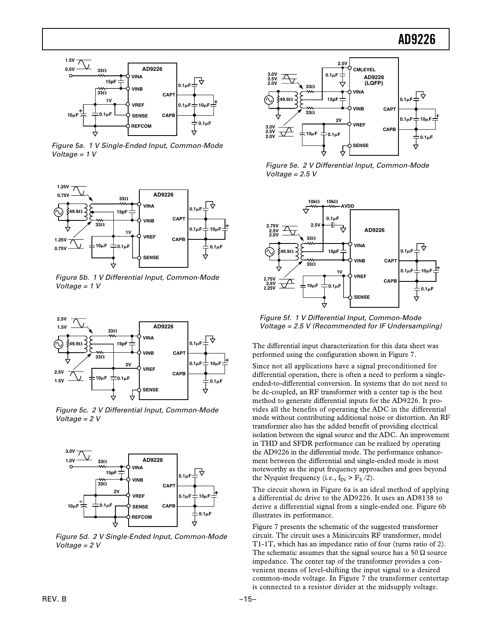

Figure 5a. 1 V Single-Ended Input, Common-Mode Voltage =  $1 V$ 



Figure 5b. 1 V Differential Input, Common-Mode Voltage =  $1 V$ 



Figure 5c. 2 V Differential Input, Common-Mode Voltage = 2 V



Figure 5d. 2 V Single-Ended Input, Common-Mode Voltage = 2 V



Figure 5e. 2 V Differential Input, Common-Mode Voltage =  $2.5 V$ 



Figure 5f. 1 V Differential Input, Common-Mode Voltage = 2.5 V (Recommended for IF Undersampling)

The differential input characterization for this data sheet was performed using the configuration shown in Figure 7.

Since not all applications have a signal preconditioned for differential operation, there is often a need to perform a singleended-to-differential conversion. In systems that do not need to be dc-coupled, an RF transformer with a center tap is the best method to generate differential inputs for the AD9226. It provides all the benefits of operating the ADC in the differential mode without contributing additional noise or distortion. An RF transformer also has the added benefit of providing electrical isolation between the signal source and the ADC. An improvement in THD and SFDR performance can be realized by operating the AD9226 in the differential mode. The performance enhancement between the differential and single-ended mode is most noteworthy as the input frequency approaches and goes beyond the Nyquist frequency (i.e.,  $f_{IN} > F_S / 2$ ).

The circuit shown in Figure 6a is an ideal method of applying a differential dc drive to the AD9226. It uses an AD8138 to derive a differential signal from a single-ended one. Figure 6b illustrates its performance.

Figure 7 presents the schematic of the suggested transformer circuit. The circuit uses a Minicircuits RF transformer, model T1-1T, which has an impedance ratio of four (turns ratio of 2). The schematic assumes that the signal source has a 50  $\Omega$  source impedance. The center tap of the transformer provides a convenient means of level-shifting the input signal to a desired common-mode voltage. In Figure 7 the transformer centertap is connected to a resistor divider at the midsupply voltage.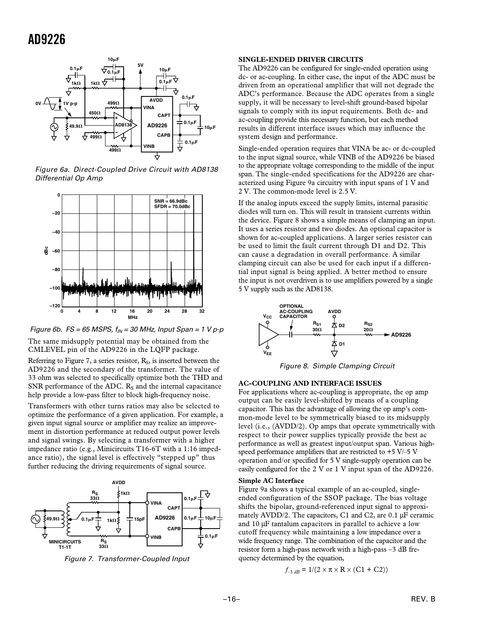

Figure 6a. Direct-Coupled Drive Circuit with AD8138 Differential Op Amp



Figure 6b. FS = 65 MSPS,  $f_{IN}$  = 30 MHz, Input Span = 1 V p-p

The same midsupply potential may be obtained from the CMLEVEL pin of the AD9226 in the LQFP package.

Referring to Figure 7, a series resistor,  $R<sub>S</sub>$ , is inserted between the AD9226 and the secondary of the transformer. The value of 33 ohm was selected to specifically optimize both the THD and SNR performance of the ADC.  $R_S$  and the internal capacitance help provide a low-pass filter to block high-frequency noise.

Transformers with other turns ratios may also be selected to optimize the performance of a given application. For example, a given input signal source or amplifier may realize an improvement in distortion performance at reduced output power levels and signal swings. By selecting a transformer with a higher impedance ratio (e.g., Minicircuits T16-6T with a 1:16 impedance ratio), the signal level is effectively "stepped up" thus further reducing the driving requirements of signal source.



Figure 7. Transformer-Coupled Input

#### **SINGLE-ENDED DRIVER CIRCUITS**

The AD9226 can be configured for single-ended operation using dc- or ac-coupling. In either case, the input of the ADC must be driven from an operational amplifier that will not degrade the ADC's performance. Because the ADC operates from a single supply, it will be necessary to level-shift ground-based bipolar signals to comply with its input requirements. Both dc- and ac-coupling provide this necessary function, but each method results in different interface issues which may influence the system design and performance.

Single-ended operation requires that VINA be ac- or dc-coupled to the input signal source, while VINB of the AD9226 be biased to the appropriate voltage corresponding to the middle of the input span. The single-ended specifications for the AD9226 are characterized using Figure 9a circuitry with input spans of 1 V and 2 V. The common-mode level is 2.5 V.

If the analog inputs exceed the supply limits, internal parasitic diodes will turn on. This will result in transient currents within the device. Figure 8 shows a simple means of clamping an input. It uses a series resistor and two diodes. An optional capacitor is shown for ac-coupled applications. A larger series resistor can be used to limit the fault current through D1 and D2. This can cause a degradation in overall performance. A similar clamping circuit can also be used for each input if a differential input signal is being applied. A better method to ensure the input is not overdriven is to use amplifiers powered by a single 5 V supply such as the AD8138.



Figure 8. Simple Clamping Circuit

#### **AC-COUPLING AND INTERFACE ISSUES**

For applications where ac-coupling is appropriate, the op amp output can be easily level-shifted by means of a coupling capacitor. This has the advantage of allowing the op amp's common-mode level to be symmetrically biased to its midsupply level (i.e., (AVDD/2). Op amps that operate symmetrically with respect to their power supplies typically provide the best ac performance as well as greatest input/output span. Various highspeed performance amplifiers that are restricted to  $+5$  V/ $-5$  V operation and/or specified for 5 V single-supply operation can be easily configured for the 2 V or 1 V input span of the AD9226.

#### **Simple AC Interface**

Figure 9a shows a typical example of an ac-coupled, singleended configuration of the SSOP package. The bias voltage shifts the bipolar, ground-referenced input signal to approximately AVDD/2. The capacitors, C1 and C2, are 0.1 µF ceramic and 10 µF tantalum capacitors in parallel to achieve a low cutoff frequency while maintaining a low impedance over a wide frequency range. The combination of the capacitor and the resistor form a high-pass network with a high-pass –3 dB frequency determined by the equation,

$$
f_{-3 dB} = 1/(2 \times \pi \times R \times (C1 + C2))
$$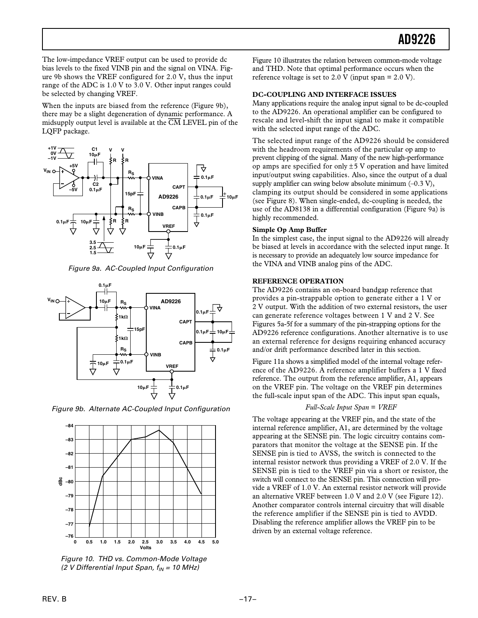The low-impedance VREF output can be used to provide dc bias levels to the fixed VINB pin and the signal on VINA. Figure 9b shows the VREF configured for 2.0 V, thus the input range of the ADC is 1.0 V to 3.0 V. Other input ranges could be selected by changing VREF.

When the inputs are biased from the reference (Figure 9b), there may be a slight degeneration of dynamic performance. A midsupply output level is available at the  $\overline{CM}$  LEVEL pin of the LQFP package.



Figure 9a. AC-Coupled Input Configuration



Figure 9b. Alternate AC-Coupled Input Configuration



Figure 10. THD vs. Common-Mode Voltage (2 V Differential Input Span,  $f_{IN}$  = 10 MHz)

Figure 10 illustrates the relation between common-mode voltage and THD. Note that optimal performance occurs when the reference voltage is set to 2.0 V (input span =  $2.0$  V).

#### **DC-COUPLING AND INTERFACE ISSUES**

Many applications require the analog input signal to be dc-coupled to the AD9226. An operational amplifier can be configured to rescale and level-shift the input signal to make it compatible with the selected input range of the ADC.

The selected input range of the AD9226 should be considered with the headroom requirements of the particular op amp to prevent clipping of the signal. Many of the new high-performance op amps are specified for only  $\pm$  5 V operation and have limited input/output swing capabilities. Also, since the output of a dual supply amplifier can swing below absolute minimum  $(-0.3 \text{ V})$ , clamping its output should be considered in some applications (see Figure 8). When single-ended, dc-coupling is needed, the use of the AD8138 in a differential configuration (Figure 9a) is highly recommended.

#### **Simple Op Amp Buffer**

In the simplest case, the input signal to the AD9226 will already be biased at levels in accordance with the selected input range. It is necessary to provide an adequately low source impedance for the VINA and VINB analog pins of the ADC.

#### **REFERENCE OPERATION**

The AD9226 contains an on-board bandgap reference that provides a pin-strappable option to generate either a 1 V or 2 V output. With the addition of two external resistors, the user can generate reference voltages between 1 V and 2 V. See Figures 5a-5f for a summary of the pin-strapping options for the AD9226 reference configurations. Another alternative is to use an external reference for designs requiring enhanced accuracy and/or drift performance described later in this section.

Figure 11a shows a simplified model of the internal voltage reference of the AD9226. A reference amplifier buffers a 1 V fixed reference. The output from the reference amplifier, A1, appears on the VREF pin. The voltage on the VREF pin determines the full-scale input span of the ADC. This input span equals,

#### *Full-Scale Input Span* = *VREF*

The voltage appearing at the VREF pin, and the state of the internal reference amplifier, A1, are determined by the voltage appearing at the SENSE pin. The logic circuitry contains comparators that monitor the voltage at the SENSE pin. If the SENSE pin is tied to AVSS, the switch is connected to the internal resistor network thus providing a VREF of 2.0 V. If the SENSE pin is tied to the VREF pin via a short or resistor, the switch will connect to the SENSE pin. This connection will provide a VREF of 1.0 V. An external resistor network will provide an alternative VREF between 1.0 V and 2.0 V (see Figure 12). Another comparator controls internal circuitry that will disable the reference amplifier if the SENSE pin is tied to AVDD. Disabling the reference amplifier allows the VREF pin to be driven by an external voltage reference.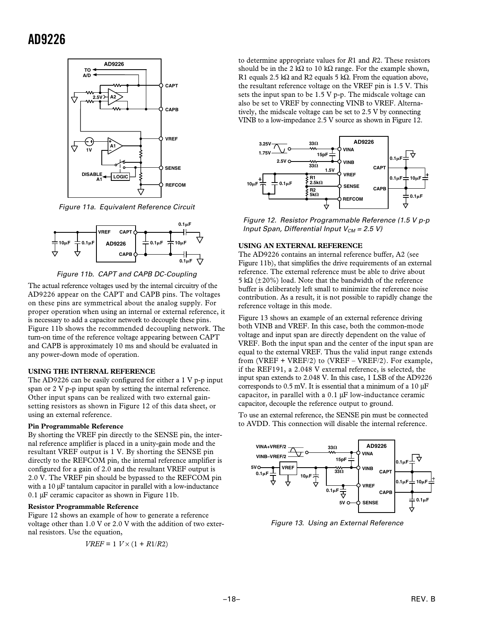

Figure 11a. Equivalent Reference Circuit



Figure 11b. CAPT and CAPB DC-Coupling

The actual reference voltages used by the internal circuitry of the AD9226 appear on the CAPT and CAPB pins. The voltages on these pins are symmetrical about the analog supply. For proper operation when using an internal or external reference, it is necessary to add a capacitor network to decouple these pins. Figure 11b shows the recommended decoupling network. The turn-on time of the reference voltage appearing between CAPT and CAPB is approximately 10 ms and should be evaluated in any power-down mode of operation.

#### **USING THE INTERNAL REFERENCE**

The AD9226 can be easily configured for either a 1 V p-p input span or 2 V p-p input span by setting the internal reference. Other input spans can be realized with two external gainsetting resistors as shown in Figure 12 of this data sheet, or using an external reference.

#### **Pin Programmable Reference**

By shorting the VREF pin directly to the SENSE pin, the internal reference amplifier is placed in a unity-gain mode and the resultant VREF output is 1 V. By shorting the SENSE pin directly to the REFCOM pin, the internal reference amplifier is configured for a gain of 2.0 and the resultant VREF output is 2.0 V. The VREF pin should be bypassed to the REFCOM pin with a 10  $\mu$ F tantalum capacitor in parallel with a low-inductance 0.1 µF ceramic capacitor as shown in Figure 11b.

#### **Resistor Programmable Reference**

Figure 12 shows an example of how to generate a reference voltage other than 1.0 V or 2.0 V with the addition of two external resistors. Use the equation,

$$
VREF=1\;V\times(1+R1/R2)
$$

to determine appropriate values for *R*1 and *R*2. These resistors should be in the 2 kΩ to 10 kΩ range. For the example shown, R1 equals 2.5 kΩ and R2 equals 5 kΩ. From the equation above, the resultant reference voltage on the VREF pin is 1.5 V. This sets the input span to be 1.5 V p-p. The midscale voltage can also be set to VREF by connecting VINB to VREF. Alternatively, the midscale voltage can be set to 2.5 V by connecting VINB to a low-impedance 2.5 V source as shown in Figure 12.



Figure 12. Resistor Programmable Reference (1.5 V p-p Input Span, Differential Input  $V_{CM} = 2.5 V$ )

#### **USING AN EXTERNAL REFERENCE**

The AD9226 contains an internal reference buffer, A2 (see Figure 11b), that simplifies the drive requirements of an external reference. The external reference must be able to drive about 5 kΩ ( $\pm$ 20%) load. Note that the bandwidth of the reference buffer is deliberately left small to minimize the reference noise contribution. As a result, it is not possible to rapidly change the reference voltage in this mode.

Figure 13 shows an example of an external reference driving both VINB and VREF. In this case, both the common-mode voltage and input span are directly dependent on the value of VREF. Both the input span and the center of the input span are equal to the external VREF. Thus the valid input range extends from (VREF + VREF/2) to (VREF – VREF/2). For example, if the REF191, a 2.048 V external reference, is selected, the input span extends to 2.048 V. In this case, 1 LSB of the AD9226 corresponds to 0.5 mV. It is essential that a minimum of a 10 µF capacitor, in parallel with a  $0.1 \mu$ F low-inductance ceramic capacitor, decouple the reference output to ground.

To use an external reference, the SENSE pin must be connected to AVDD. This connection will disable the internal reference.



Figure 13. Using an External Reference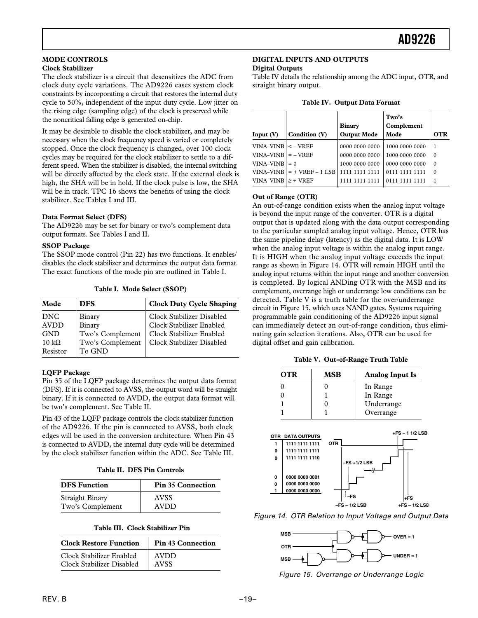#### **MODE CONTROLS**

#### **Clock Stabilizer**

The clock stabilizer is a circuit that desensitizes the ADC from clock duty cycle variations. The AD9226 eases system clock constraints by incorporating a circuit that restores the internal duty cycle to 50%, independent of the input duty cycle. Low jitter on the rising edge (sampling edge) of the clock is preserved while the noncritical falling edge is generated on-chip.

It may be desirable to disable the clock stabilizer, and may be necessary when the clock frequency speed is varied or completely stopped. Once the clock frequency is changed, over 100 clock cycles may be required for the clock stabilizer to settle to a different speed. When the stabilizer is disabled, the internal switching will be directly affected by the clock state. If the external clock is high, the SHA will be in hold. If the clock pulse is low, the SHA will be in track. TPC 16 shows the benefits of using the clock stabilizer. See Tables I and III.

#### **Data Format Select (DFS)**

The AD9226 may be set for binary or two's complement data output formats. See Tables I and II.

#### **SSOP Package**

The SSOP mode control (Pin 22) has two functions. It enables/ disables the clock stabilizer and determines the output data format. The exact functions of the mode pin are outlined in Table I.

|  |  |  | Table I. Mode Select (SSOP) |
|--|--|--|-----------------------------|
|--|--|--|-----------------------------|

| Mode                                                                 | <b>DFS</b>                                                         | <b>Clock Duty Cycle Shaping</b>                                                                                |
|----------------------------------------------------------------------|--------------------------------------------------------------------|----------------------------------------------------------------------------------------------------------------|
| DNC<br><b>AVDD</b><br><b>GND</b><br>$10 \text{ k}\Omega$<br>Resistor | Binary<br>Binary<br>Two's Complement<br>Two's Complement<br>To GND | Clock Stabilizer Disabled<br>Clock Stabilizer Enabled<br>Clock Stabilizer Enabled<br>Clock Stabilizer Disabled |

#### **LQFP Package**

Pin 35 of the LQFP package determines the output data format (DFS). If it is connected to AVSS, the output word will be straight binary. If it is connected to AVDD, the output data format will be two's complement. See Table II.

Pin 43 of the LQFP package controls the clock stabilizer function of the AD9226. If the pin is connected to AVSS, both clock edges will be used in the conversion architecture. When Pin 43 is connected to AVDD, the internal duty cycle will be determined by the clock stabilizer function within the ADC. See Table III.

**Table II. DFS Pin Controls**

| <b>DFS</b> Function    | <b>Pin 35 Connection</b> |
|------------------------|--------------------------|
| <b>Straight Binary</b> | <b>AVSS</b>              |
| Two's Complement       | AVDD                     |

| Table III.  Clock Stabilizer Pin |  |
|----------------------------------|--|
|                                  |  |

| <b>Clock Restore Function</b> | <b>Pin 43 Connection</b> |
|-------------------------------|--------------------------|
| Clock Stabilizer Enabled      | AVDD                     |
| Clock Stabilizer Disabled     | <b>AVSS</b>              |

#### **DIGITAL INPUTS AND OUTPUTS Digital Outputs**

Table IV details the relationship among the ADC input, OTR, and straight binary output.

| Table IV. Output Data Format |  |  |  |
|------------------------------|--|--|--|
|------------------------------|--|--|--|

|                             |                             | <b>Binary</b>      | Two's<br>Complement |            |
|-----------------------------|-----------------------------|--------------------|---------------------|------------|
| Input $(V)$                 | Condition (V)               | <b>Output Mode</b> | Mode                | <b>OTR</b> |
| VINA–VINB                   | $\leq$ – VREF               | 0000 0000 0000     | 1000 0000 0000      |            |
| VINA-VINB                   | $=$ - VREF                  | 0000 0000 0000     | 1000 0000 0000      | $\Omega$   |
| <b>VINA–VINB</b>            | $= 0$                       | 1000 0000 0000     | 0000 0000 0000      | $\Omega$   |
|                             | $VINA-VINB$ = + $VREF-1LSB$ |                    | 0111 1111 1111      | 0          |
| $VINA-VINB$   $\geq$ + VREF |                             |                    |                     |            |

#### **Out of Range (OTR)**

An out-of-range condition exists when the analog input voltage is beyond the input range of the converter. OTR is a digital output that is updated along with the data output corresponding to the particular sampled analog input voltage. Hence, OTR has the same pipeline delay (latency) as the digital data. It is LOW when the analog input voltage is within the analog input range. It is HIGH when the analog input voltage exceeds the input range as shown in Figure 14. OTR will remain HIGH until the analog input returns within the input range and another conversion is completed. By logical ANDing OTR with the MSB and its complement, overrange high or underrange low conditions can be detected. Table V is a truth table for the over/underrange circuit in Figure 15, which uses NAND gates. Systems requiring programmable gain conditioning of the AD9226 input signal can immediately detect an out-of-range condition, thus eliminating gain selection iterations. Also, OTR can be used for digital offset and gain calibration.

|  | Table V. Out-of-Range Truth Table |  |  |
|--|-----------------------------------|--|--|
|--|-----------------------------------|--|--|

| <b>OTR</b> | <b>MSB</b> | <b>Analog Input Is</b> |
|------------|------------|------------------------|
|            |            | In Range               |
|            |            | In Range               |
|            |            | Underrange             |
|            |            | Overrange              |



Figure 14. OTR Relation to Input Voltage and Output Data



Figure 15. Overrange or Underrange Logic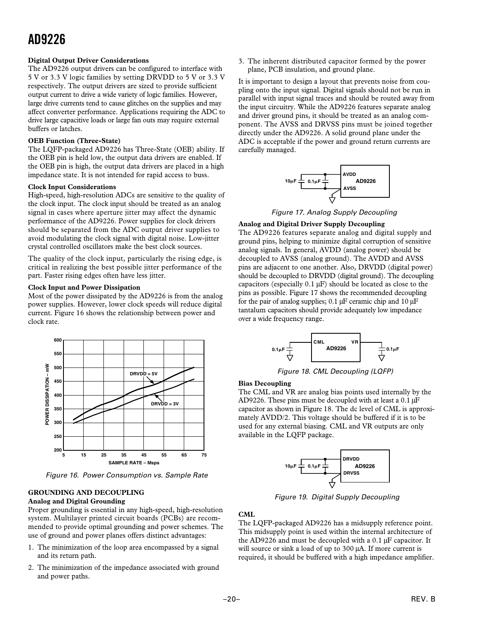#### **Digital Output Driver Considerations**

The AD9226 output drivers can be configured to interface with 5 V or 3.3 V logic families by setting DRVDD to 5 V or 3.3 V respectively. The output drivers are sized to provide sufficient output current to drive a wide variety of logic families. However, large drive currents tend to cause glitches on the supplies and may affect converter performance. Applications requiring the ADC to drive large capacitive loads or large fan outs may require external buffers or latches.

#### **OEB Function (Three-State)**

The LQFP-packaged AD9226 has Three-State (OEB) ability. If the OEB pin is held low, the output data drivers are enabled. If the OEB pin is high, the output data drivers are placed in a high impedance state. It is not intended for rapid access to buss.

#### **Clock Input Considerations**

High-speed, high-resolution ADCs are sensitive to the quality of the clock input. The clock input should be treated as an analog signal in cases where aperture jitter may affect the dynamic performance of the AD9226. Power supplies for clock drivers should be separated from the ADC output driver supplies to avoid modulating the clock signal with digital noise. Low-jitter crystal controlled oscillators make the best clock sources.

The quality of the clock input, particularly the rising edge, is critical in realizing the best possible jitter performance of the part. Faster rising edges often have less jitter.

#### **Clock Input and Power Dissipation**

Most of the power dissipated by the AD9226 is from the analog power supplies. However, lower clock speeds will reduce digital current. Figure 16 shows the relationship between power and clock rate.



Figure 16. Power Consumption vs. Sample Rate

#### **GROUNDING AND DECOUPLING Analog and Digital Grounding**

Proper grounding is essential in any high-speed, high-resolution system. Multilayer printed circuit boards (PCBs) are recommended to provide optimal grounding and power schemes. The use of ground and power planes offers distinct advantages:

- 1. The minimization of the loop area encompassed by a signal and its return path.
- 2. The minimization of the impedance associated with ground and power paths.

3. The inherent distributed capacitor formed by the power plane, PCB insulation, and ground plane.

It is important to design a layout that prevents noise from coupling onto the input signal. Digital signals should not be run in parallel with input signal traces and should be routed away from the input circuitry. While the AD9226 features separate analog and driver ground pins, it should be treated as an analog component. The AVSS and DRVSS pins must be joined together directly under the AD9226. A solid ground plane under the ADC is acceptable if the power and ground return currents are carefully managed.



Figure 17. Analog Supply Decoupling

#### **Analog and Digital Driver Supply Decoupling**

The AD9226 features separate analog and digital supply and ground pins, helping to minimize digital corruption of sensitive analog signals. In general, AVDD (analog power) should be decoupled to AVSS (analog ground). The AVDD and AVSS pins are adjacent to one another. Also, DRVDD (digital power) should be decoupled to DRVDD (digital ground). The decoupling capacitors (especially  $0.1 \mu$ F) should be located as close to the pins as possible. Figure 17 shows the recommended decoupling for the pair of analog supplies;  $0.1 \mu$ F ceramic chip and  $10 \mu$ F tantalum capacitors should provide adequately low impedance over a wide frequency range.



Figure 18. CML Decoupling (LQFP)

#### **Bias Decoupling**

The CML and VR are analog bias points used internally by the AD9226. These pins must be decoupled with at least a  $0.1 \mu$ F capacitor as shown in Figure 18. The dc level of CML is approximately AVDD/2. This voltage should be buffered if it is to be used for any external biasing. CML and VR outputs are only available in the LQFP package.



Figure 19. Digital Supply Decoupling

#### **CML**

The LQFP-packaged AD9226 has a midsupply reference point. This midsupply point is used within the internal architecture of the AD9226 and must be decoupled with a 0.1 µF capacitor. It will source or sink a load of up to 300 µA. If more current is required, it should be buffered with a high impedance amplifier.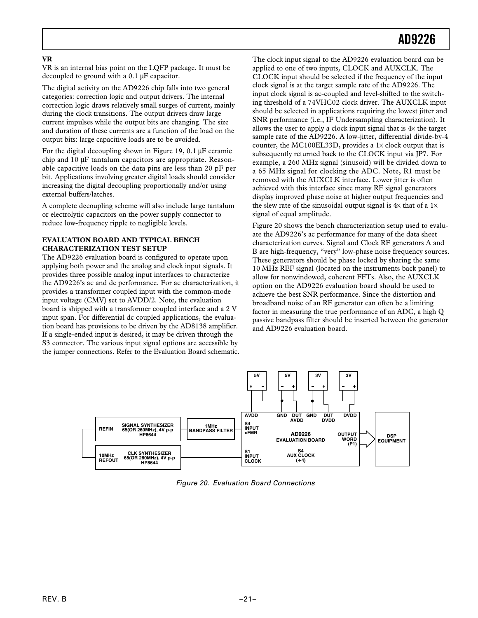#### **VR**

VR is an internal bias point on the LQFP package. It must be decoupled to ground with a 0.1 µF capacitor.

The digital activity on the AD9226 chip falls into two general categories: correction logic and output drivers. The internal correction logic draws relatively small surges of current, mainly during the clock transitions. The output drivers draw large current impulses while the output bits are changing. The size and duration of these currents are a function of the load on the output bits: large capacitive loads are to be avoided.

For the digital decoupling shown in Figure 19, 0.1 µF ceramic chip and 10 µF tantalum capacitors are appropriate. Reasonable capacitive loads on the data pins are less than 20 pF per bit. Applications involving greater digital loads should consider increasing the digital decoupling proportionally and/or using external buffers/latches.

A complete decoupling scheme will also include large tantalum or electrolytic capacitors on the power supply connector to reduce low-frequency ripple to negligible levels.

#### **EVALUATION BOARD AND TYPICAL BENCH CHARACTERIZATION TEST SETUP**

The AD9226 evaluation board is configured to operate upon applying both power and the analog and clock input signals. It provides three possible analog input interfaces to characterize the AD9226's ac and dc performance. For ac characterization, it provides a transformer coupled input with the common-mode input voltage (CMV) set to AVDD/2. Note, the evaluation board is shipped with a transformer coupled interface and a 2 V input span. For differential dc coupled applications, the evaluation board has provisions to be driven by the AD8138 amplifier. If a single-ended input is desired, it may be driven through the S3 connector. The various input signal options are accessible by the jumper connections. Refer to the Evaluation Board schematic.

The clock input signal to the AD9226 evaluation board can be applied to one of two inputs, CLOCK and AUXCLK. The CLOCK input should be selected if the frequency of the input clock signal is at the target sample rate of the AD9226. The input clock signal is ac-coupled and level-shifted to the switching threshold of a 74VHC02 clock driver. The AUXCLK input should be selected in applications requiring the lowest jitter and SNR performance (i.e., IF Undersampling characterization). It allows the user to apply a clock input signal that is  $4\times$  the target sample rate of the AD9226. A low-jitter, differential divide-by-4 counter, the MC100EL33D, provides a 1× clock output that is subsequently returned back to the CLOCK input via JP7. For example, a 260 MHz signal (sinusoid) will be divided down to a 65 MHz signal for clocking the ADC. Note, R1 must be removed with the AUXCLK interface. Lower jitter is often achieved with this interface since many RF signal generators display improved phase noise at higher output frequencies and the slew rate of the sinusoidal output signal is  $4\times$  that of a  $1\times$ signal of equal amplitude.

Figure 20 shows the bench characterization setup used to evaluate the AD9226's ac performance for many of the data sheet characterization curves. Signal and Clock RF generators A and B are high-frequency, "very" low-phase noise frequency sources. These generators should be phase locked by sharing the same 10 MHz REF signal (located on the instruments back panel) to allow for nonwindowed, coherent FFTs. Also, the AUXCLK option on the AD9226 evaluation board should be used to achieve the best SNR performance. Since the distortion and broadband noise of an RF generator can often be a limiting factor in measuring the true performance of an ADC, a high Q passive bandpass filter should be inserted between the generator and AD9226 evaluation board.



Figure 20. Evaluation Board Connections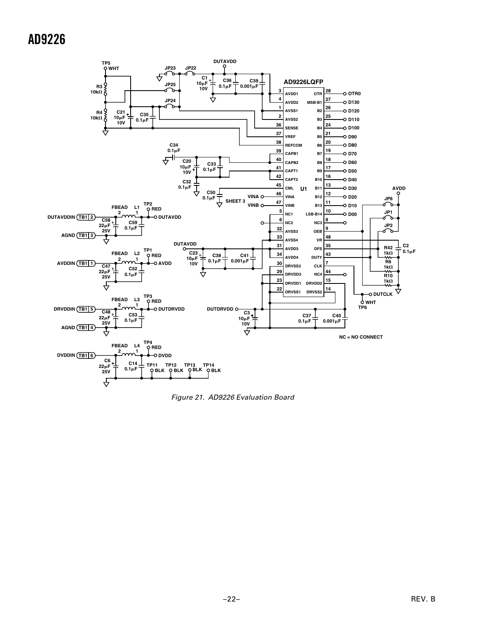

Figure 21. AD9226 Evaluation Board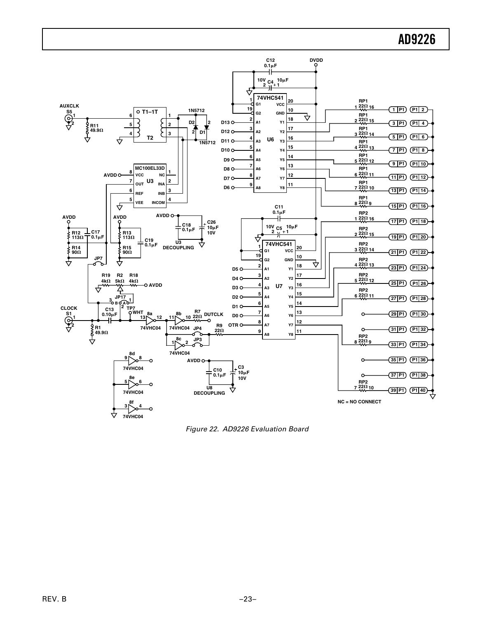

Figure 22. AD9226 Evaluation Board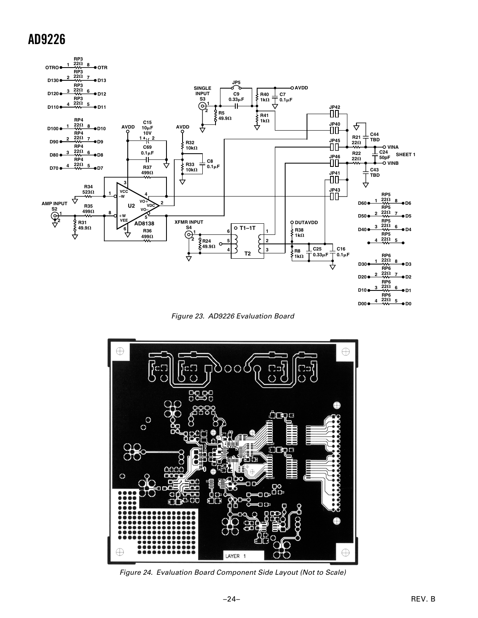

Figure 23. AD9226 Evaluation Board



Figure 24. Evaluation Board Component Side Layout (Not to Scale)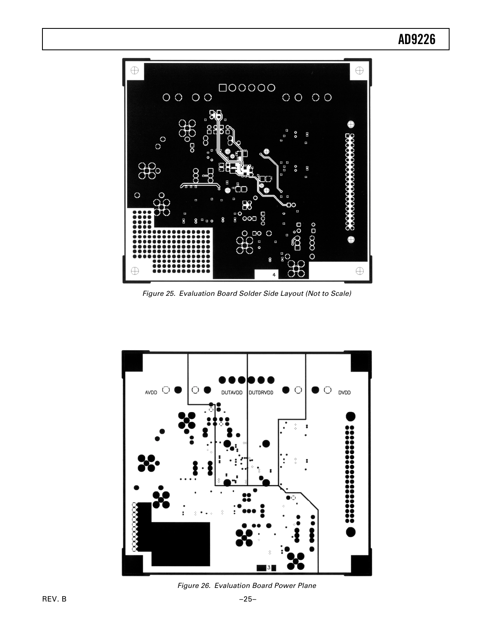

Figure 25. Evaluation Board Solder Side Layout (Not to Scale)



Figure 26. Evaluation Board Power Plane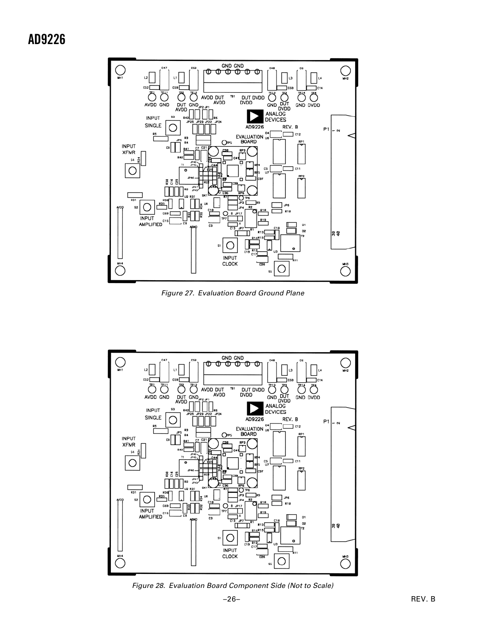

Figure 27. Evaluation Board Ground Plane



Figure 28. Evaluation Board Component Side (Not to Scale)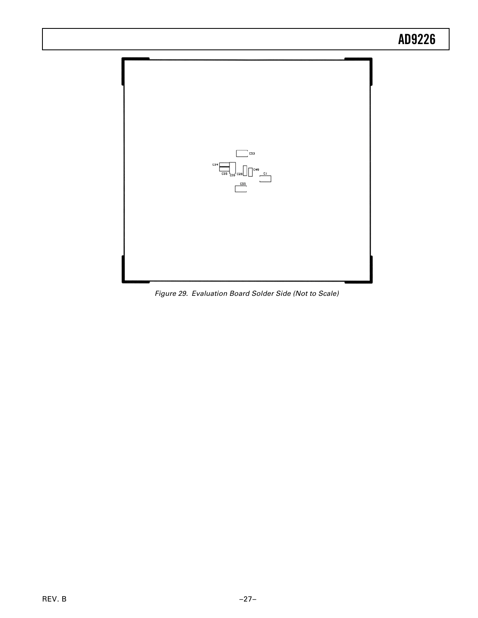

Figure 29. Evaluation Board Solder Side (Not to Scale)